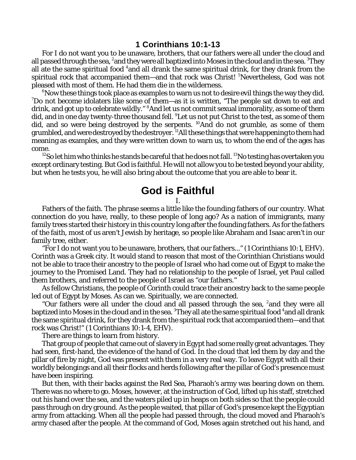## **1 Corinthians 10:1-13**

For I do not want you to be unaware, brothers, that our fathers were all under the cloud and all passed through the sea, <sup>2</sup>and they were all baptized into Moses in the cloud and in the sea. <sup>3</sup>They all ate the same spiritual food  $4$  and all drank the same spiritual drink, for they drank from the spiritual rock that accompanied them—and that rock was Christ! <sup>5</sup>Nevertheless, God was not pleased with most of them. He had them die in the wilderness.

 $6N$ ow these things took place as examples to warn us not to desire evil things the way they did.  $7$ Do not become idolaters like some of them—as it is written, "The people sat down to eat and drink, and got up to celebrate wildly." <sup>8</sup>And let us not commit sexual immorality, as some of them did, and in one day twenty-three thousand fell. <sup>9</sup>Let us not put Christ to the test, as some of them did, and so were being destroyed by the serpents. <sup>10</sup>And do not grumble, as some of them grumbled, and were destroyed by the destroyer. <sup>11</sup>All these things that were happening to them had meaning as examples, and they were written down to warn us, to whom the end of the ages has come.

 $^{12}$ So let him who thinks he stands be careful that he does not fall.  $^{13}$ No testing has overtaken you except ordinary testing. But God is faithful. He will not allow you to be tested beyond your ability, but when he tests you, he will also bring about the outcome that you are able to bear it.

## **God is Faithful**

## I.

Fathers of the faith. The phrase seems a little like the founding fathers of our country. What connection do you have, really, to these people of long ago? As a nation of immigrants, many family trees started their history in this country long after the founding fathers. As for the fathers of the faith, most of us aren't Jewish by heritage, so people like Abraham and Isaac aren't in our family tree, either.

"For I do not want you to be unaware, brothers, that our fathers..." (1 Corinthians 10:1, EHV). Corinth was a Greek city. It would stand to reason that most of the Corinthian Christians would not be able to trace their ancestry to the people of Israel who had come out of Egypt to make the journey to the Promised Land. They had no relationship to the people of Israel, yet Paul called them brothers, and referred to the people of Israel as "our fathers."

As fellow Christians, the people of Corinth *could* trace their ancestry back to the same people led out of Egypt by Moses. As can we. Spiritually, we are connected.

"Our fathers were all under the cloud and all passed through the sea, <sup>2</sup> and they were all baptized into Moses in the cloud and in the sea.  $^3$ They all ate the same spiritual food  $^4$ and all drank the same spiritual drink, for they drank from the spiritual rock that accompanied them—and that rock was Christ!" (1 Corinthians 10:1-4, EHV).

There are things to learn from history.

That group of people that came out of slavery in Egypt had some really great advantages. They had seen, first-hand, the evidence of the hand of God. In the cloud that led them by day and the pillar of fire by night, God was present with them in a very real way. To leave Egypt with all their worldly belongings and all their flocks and herds following after the pillar of God's presence must have been inspiring.

But then, with their backs against the Red Sea, Pharaoh's army was bearing down on them. There was no where to go. Moses, however, at the instruction of God, lifted up his staff, stretched out his hand over the sea, and the waters piled up in heaps on both sides so that the people could pass through on dry ground. As the people waited, that pillar of God's presence kept the Egyptian army from attacking. When all the people had passed through, the cloud moved and Pharaoh's army chased after the people. At the command of God, Moses again stretched out his hand, and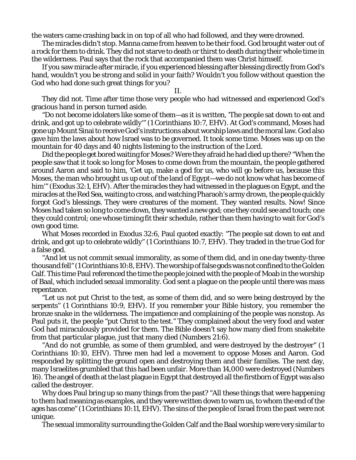the waters came crashing back in on top of all who had followed, and they were drowned.

The miracles didn't stop. Manna came from heaven to be their food. God brought water out of a rock for them to drink. They did not starve to death or thirst to death during their whole time in the wilderness. Paul says that the rock that accompanied them was Christ himself.

If you saw miracle after miracle, if you experienced blessing after blessing directly from God's hand, wouldn't you be strong and solid in your faith? Wouldn't you follow without question the God who had done such great things for you?

## II.

They did not. Time after time those very people who had witnessed and experienced God's gracious hand in person turned aside.

"Do not become idolaters like some of them—as it is written, 'The people sat down to eat and drink, and got up to celebrate wildly'" (1 Corinthians 10:7, EHV). At God's command, Moses had gone up Mount Sinai to receive God's instructions about worship laws and the moral law. God also gave him the laws about how Israel was to be governed. It took some time. Moses was up on the mountain for 40 days and 40 nights listening to the instruction of the Lord.

Did the people get bored waiting for Moses? Were they afraid he had died up there? "When the people saw that it took so long for Moses to come down from the mountain, the people gathered around Aaron and said to him, 'Get up, make a god for us, who will go before us, because this Moses, the man who brought us up out of the land of Egypt—we do not know what has become of him'" (Exodus 32:1, EHV). After the miracles they had witnessed in the plagues on Egypt, and the miracles at the Red Sea, waiting to cross, and watching Pharaoh's army drown, the people quickly forgot God's blessings. They were creatures of the moment. They wanted results. Now! Since Moses had taken so long to come down, they wanted a new god; one they could see and touch; one they could control; one whose timing fit *their* schedule, rather than them having to wait for God's own good time.

What Moses recorded in Exodus 32:6, Paul quoted exactly: "The people sat down to eat and drink, and got up to celebrate wildly" (1 Corinthians 10:7, EHV). They traded in the true God for a false god.

"And let us not commit sexual immorality, as some of them did, and in one day twenty-three thousand fell" (1 Corinthians 10:8, EHV). The worship offalse gods was not confined to the Golden Calf. This time Paul referenced the time the people joined with the people of Moab in the worship of Baal, which included sexual immorality. God sent a plague on the people until there was mass repentance.

"Let us not put Christ to the test, as some of them did, and so were being destroyed by the serpents" (1 Corinthians 10:9, EHV). If you remember your Bible history, you remember the bronze snake in the wilderness. The impatience and complaining of the people was nonstop. As Paul puts it, the people "put Christ to the test." They complained about the very food and water God had miraculously provided for them. The Bible doesn't say how many died from snakebite from that particular plague, just that many died (Numbers 21:6).

"And do not grumble, as some of them grumbled, and were destroyed by the destroyer" (1 Corinthians 10:10, EHV). Three men had led a movement to oppose Moses and Aaron. God responded by splitting the ground open and destroying them and their families. The next day, many Israelites grumbled that this had been unfair. More than 14,000 were destroyed (Numbers 16). The angel of death at the last plague in Egypt that destroyed all the firstborn of Egypt was also called the destroyer.

Why does Paul bring up so many things from the past? "All these things that were happening to them had meaning as examples, and they were written down to warn us, to whom the end of the ages has come" (1 Corinthians 10:11, EHV). The sins of the people of Israel from the past were not unique.

The sexual immorality surrounding the Golden Calf and the Baal worship were very similar to